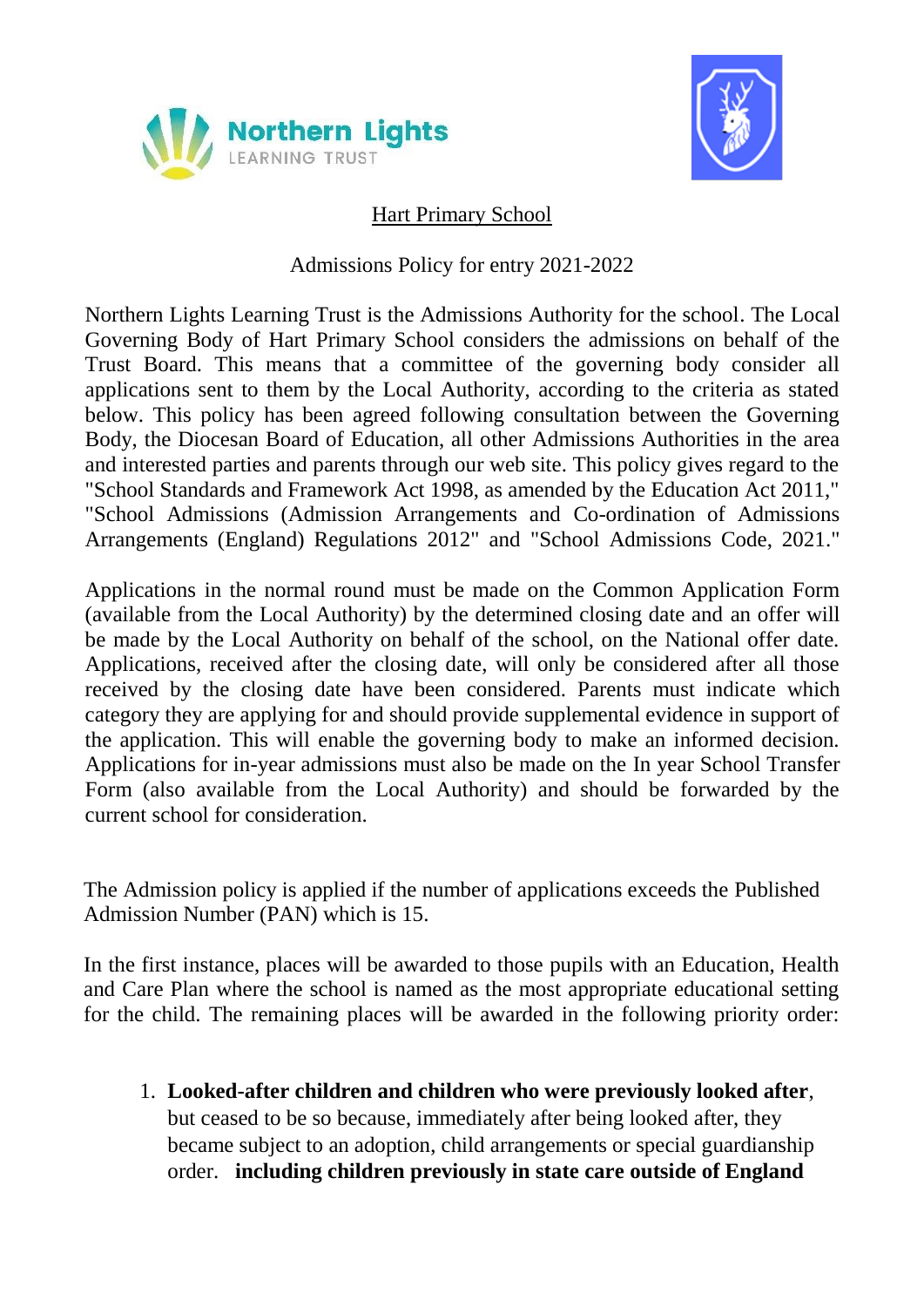



# Hart Primary School

### Admissions Policy for entry 2021-2022

Northern Lights Learning Trust is the Admissions Authority for the school. The Local Governing Body of Hart Primary School considers the admissions on behalf of the Trust Board. This means that a committee of the governing body consider all applications sent to them by the Local Authority, according to the criteria as stated below. This policy has been agreed following consultation between the Governing Body, the Diocesan Board of Education, all other Admissions Authorities in the area and interested parties and parents through our web site. This policy gives regard to the "School Standards and Framework Act 1998, as amended by the Education Act 2011," "School Admissions (Admission Arrangements and Co-ordination of Admissions Arrangements (England) Regulations 2012" and "School Admissions Code, 2021."

Applications in the normal round must be made on the Common Application Form (available from the Local Authority) by the determined closing date and an offer will be made by the Local Authority on behalf of the school, on the National offer date. Applications, received after the closing date, will only be considered after all those received by the closing date have been considered. Parents must indicate which category they are applying for and should provide supplemental evidence in support of the application. This will enable the governing body to make an informed decision. Applications for in-year admissions must also be made on the In year School Transfer Form (also available from the Local Authority) and should be forwarded by the current school for consideration.

The Admission policy is applied if the number of applications exceeds the Published Admission Number (PAN) which is 15.

In the first instance, places will be awarded to those pupils with an Education, Health and Care Plan where the school is named as the most appropriate educational setting for the child. The remaining places will be awarded in the following priority order:

1. **Looked-after children and children who were previously looked after**, but ceased to be so because, immediately after being looked after, they became subject to an adoption, child arrangements or special guardianship order. **including children previously in state care outside of England**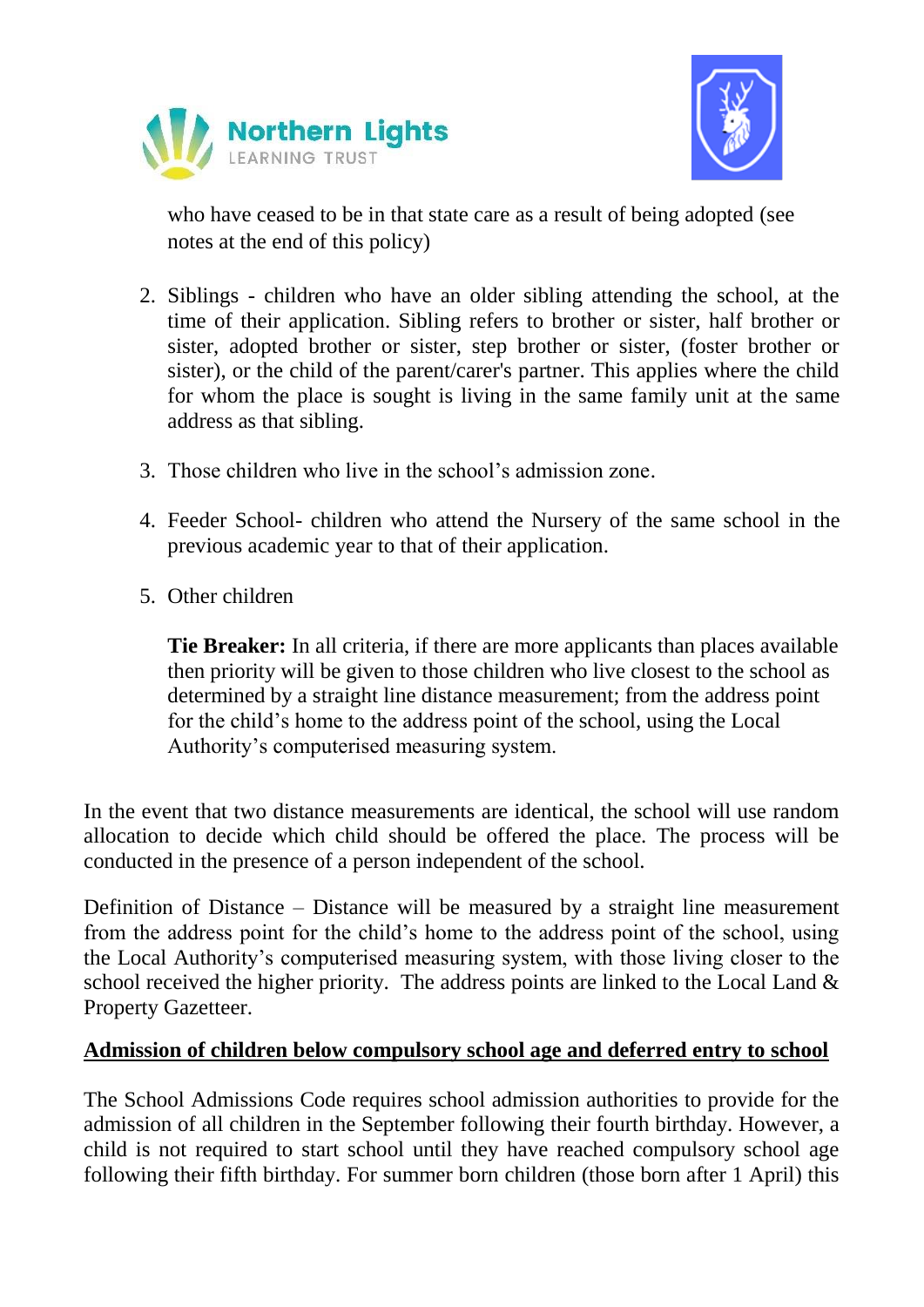



who have ceased to be in that state care as a result of being adopted (see notes at the end of this policy)

- 2. Siblings children who have an older sibling attending the school, at the time of their application. Sibling refers to brother or sister, half brother or sister, adopted brother or sister, step brother or sister, (foster brother or sister), or the child of the parent/carer's partner. This applies where the child for whom the place is sought is living in the same family unit at the same address as that sibling.
- 3. Those children who live in the school's admission zone.
- 4. Feeder School- children who attend the Nursery of the same school in the previous academic year to that of their application.
- 5. Other children

**Tie Breaker:** In all criteria, if there are more applicants than places available then priority will be given to those children who live closest to the school as determined by a straight line distance measurement; from the address point for the child's home to the address point of the school, using the Local Authority's computerised measuring system.

In the event that two distance measurements are identical, the school will use random allocation to decide which child should be offered the place. The process will be conducted in the presence of a person independent of the school.

Definition of Distance – Distance will be measured by a straight line measurement from the address point for the child's home to the address point of the school, using the Local Authority's computerised measuring system, with those living closer to the school received the higher priority. The address points are linked to the Local Land & Property Gazetteer.

#### **Admission of children below compulsory school age and deferred entry to school**

The School Admissions Code requires school admission authorities to provide for the admission of all children in the September following their fourth birthday. However, a child is not required to start school until they have reached compulsory school age following their fifth birthday. For summer born children (those born after 1 April) this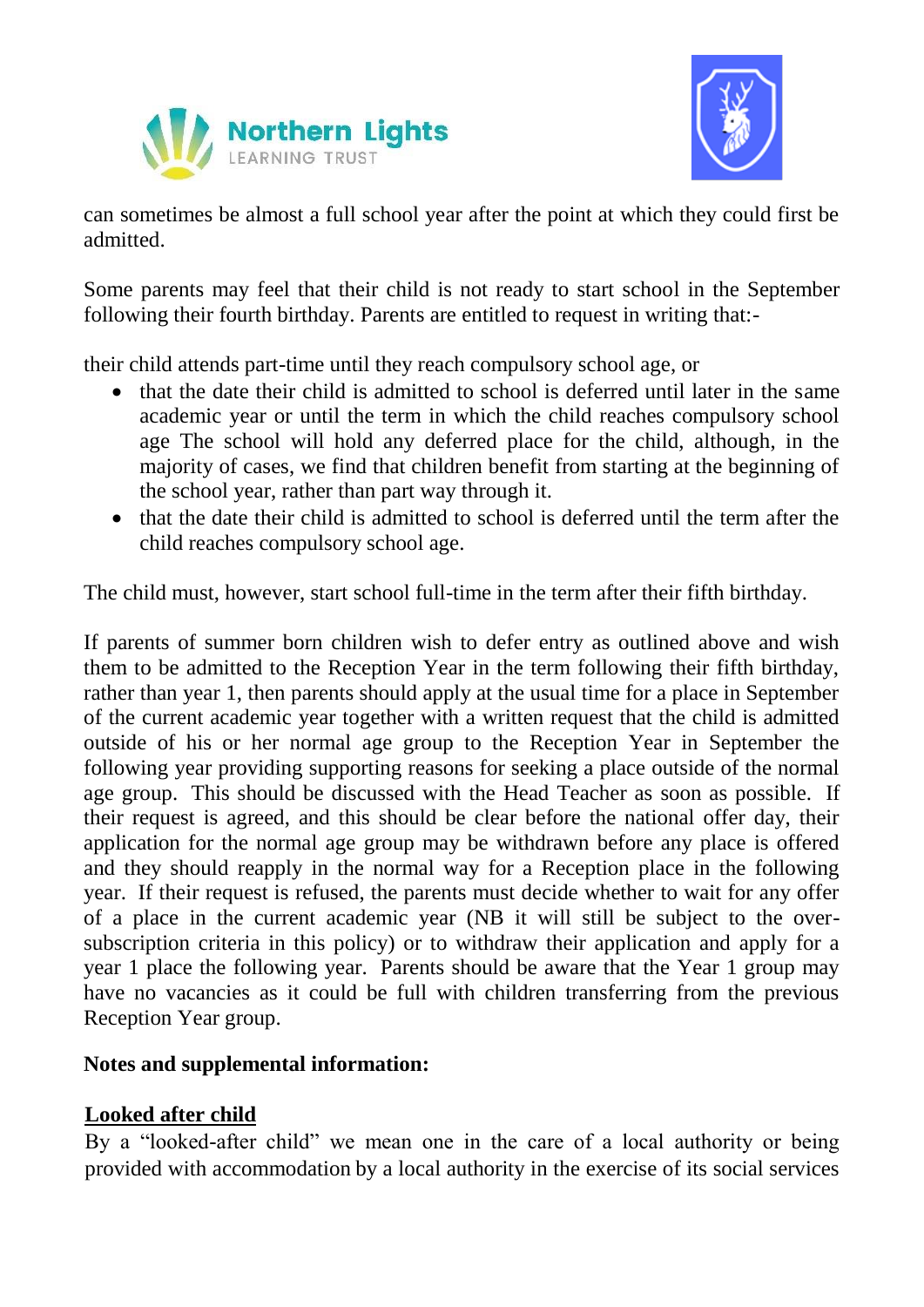



can sometimes be almost a full school year after the point at which they could first be admitted.

Some parents may feel that their child is not ready to start school in the September following their fourth birthday. Parents are entitled to request in writing that:-

their child attends part-time until they reach compulsory school age, or

- that the date their child is admitted to school is deferred until later in the same academic year or until the term in which the child reaches compulsory school age The school will hold any deferred place for the child, although, in the majority of cases, we find that children benefit from starting at the beginning of the school year, rather than part way through it.
- that the date their child is admitted to school is deferred until the term after the child reaches compulsory school age.

The child must, however, start school full-time in the term after their fifth birthday.

If parents of summer born children wish to defer entry as outlined above and wish them to be admitted to the Reception Year in the term following their fifth birthday, rather than year 1, then parents should apply at the usual time for a place in September of the current academic year together with a written request that the child is admitted outside of his or her normal age group to the Reception Year in September the following year providing supporting reasons for seeking a place outside of the normal age group. This should be discussed with the Head Teacher as soon as possible. If their request is agreed, and this should be clear before the national offer day, their application for the normal age group may be withdrawn before any place is offered and they should reapply in the normal way for a Reception place in the following year. If their request is refused, the parents must decide whether to wait for any offer of a place in the current academic year (NB it will still be subject to the oversubscription criteria in this policy) or to withdraw their application and apply for a year 1 place the following year. Parents should be aware that the Year 1 group may have no vacancies as it could be full with children transferring from the previous Reception Year group.

#### **Notes and supplemental information:**

## **Looked after child**

By a "looked-after child" we mean one in the care of a local authority or being provided with accommodation by a local authority in the exercise of its social services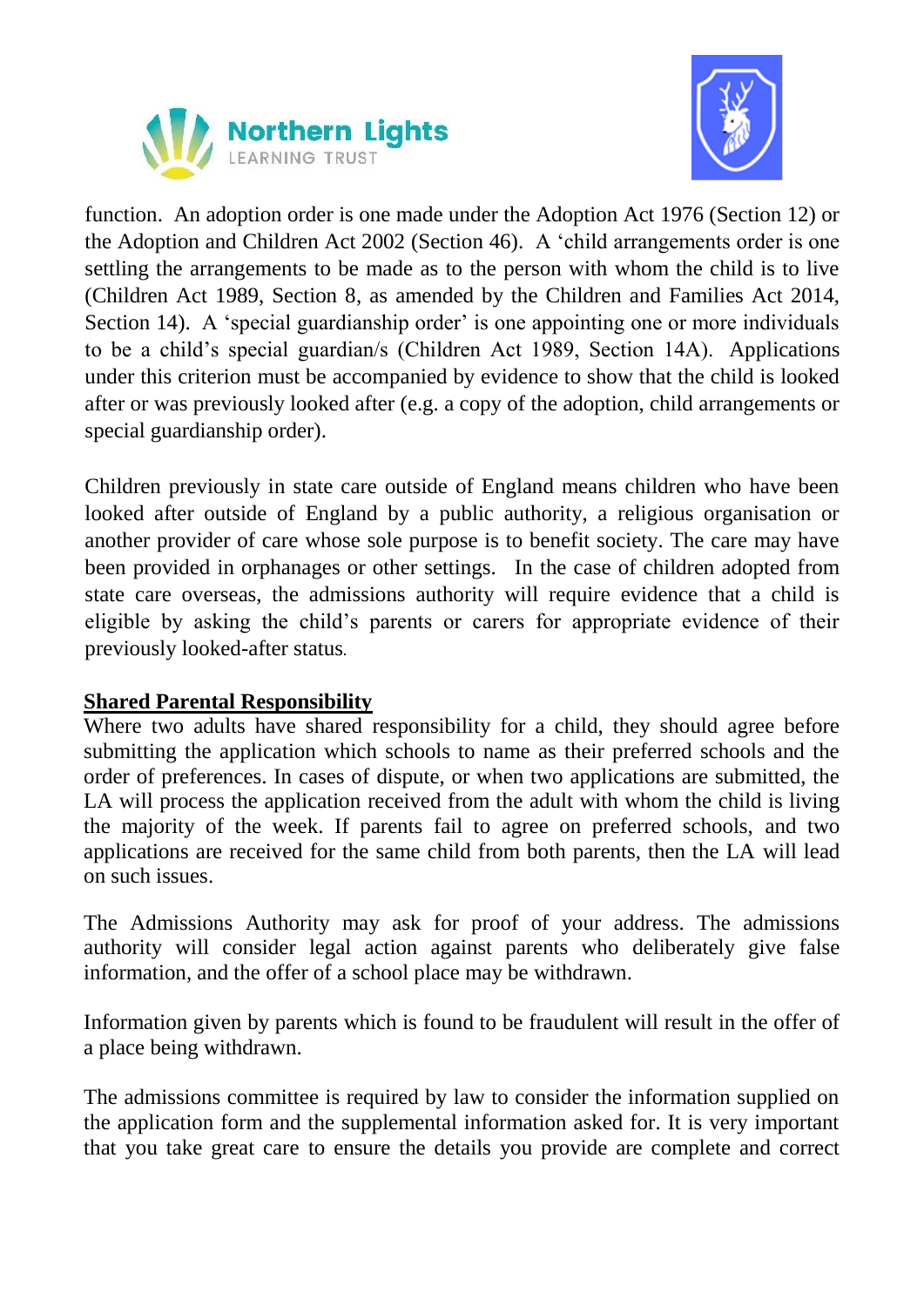



function. An adoption order is one made under the Adoption Act 1976 (Section 12) or the Adoption and Children Act 2002 (Section 46). A 'child arrangements order is one settling the arrangements to be made as to the person with whom the child is to live (Children Act 1989, Section 8, as amended by the Children and Families Act 2014, Section 14). A 'special guardianship order' is one appointing one or more individuals to be a child's special guardian/s (Children Act 1989, Section 14A). Applications under this criterion must be accompanied by evidence to show that the child is looked after or was previously looked after (e.g. a copy of the adoption, child arrangements or special guardianship order).

Children previously in state care outside of England means children who have been looked after outside of England by a public authority, a religious organisation or another provider of care whose sole purpose is to benefit society. The care may have been provided in orphanages or other settings. In the case of children adopted from state care overseas, the admissions authority will require evidence that a child is eligible by asking the child's parents or carers for appropriate evidence of their previously looked-after status*.*

## **Shared Parental Responsibility**

Where two adults have shared responsibility for a child, they should agree before submitting the application which schools to name as their preferred schools and the order of preferences. In cases of dispute, or when two applications are submitted, the LA will process the application received from the adult with whom the child is living the majority of the week. If parents fail to agree on preferred schools, and two applications are received for the same child from both parents, then the LA will lead on such issues.

The Admissions Authority may ask for proof of your address. The admissions authority will consider legal action against parents who deliberately give false information, and the offer of a school place may be withdrawn.

Information given by parents which is found to be fraudulent will result in the offer of a place being withdrawn.

The admissions committee is required by law to consider the information supplied on the application form and the supplemental information asked for. It is very important that you take great care to ensure the details you provide are complete and correct